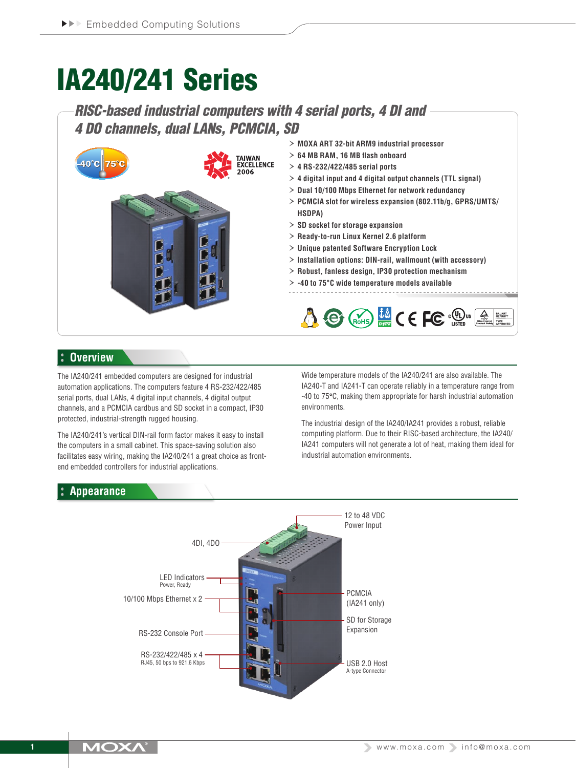# IA240/241 Series

*RISC-based industrial computers with 4 serial ports, 4 DI and 4 DO channels, dual LANs, PCMCIA, SD*



- › **MOXA ART 32-bit ARM9 industrial processor**
- › **64 MB RAM, 16 MB flash onboard**
- › **4 RS-232/422/485 serial ports**
- › **4 digital input and 4 digital output channels (TTL signal)**
- › **Dual 10/100 Mbps Ethernet for network redundancy**
- › **PCMCIA slot for wireless expansion (802.11b/g, GPRS/UMTS/ HSDPA)**
- › **SD socket for storage expansion**
- › **Ready-to-run Linux Kernel 2.6 platform**
- › **Unique patented Software Encryption Lock**
- › **Installation options: DIN-rail, wallmount (with accessory)**
- › **Robust, fanless design, IP30 protection mechanism**
- › **-40 to 75°C wide temperature models available**



# **Overview**

The IA240/241 embedded computers are designed for industrial automation applications. The computers feature 4 RS-232/422/485 serial ports, dual LANs, 4 digital input channels, 4 digital output channels, and a PCMCIA cardbus and SD socket in a compact, IP30 protected, industrial-strength rugged housing.

The IA240/241's vertical DIN-rail form factor makes it easy to install the computers in a small cabinet. This space-saving solution also facilitates easy wiring, making the IA240/241 a great choice as frontend embedded controllers for industrial applications.

Wide temperature models of the IA240/241 are also available. The IA240-T and IA241-T can operate reliably in a temperature range from -40 to 75**°**C, making them appropriate for harsh industrial automation environments.

The industrial design of the IA240/IA241 provides a robust, reliable computing platform. Due to their RISC-based architecture, the IA240/ IA241 computers will not generate a lot of heat, making them ideal for industrial automation environments.

#### **Appearance**

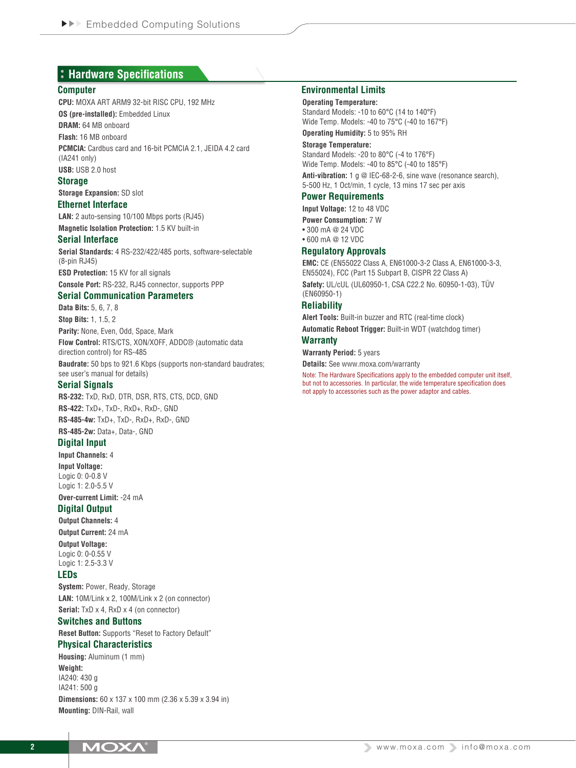# **Hardware Specifications**

#### **Computer**

**CPU:** MOXA ART ARM9 32-bit RISC CPU, 192 MHz

**OS (pre-installed):** Embedded Linux

**DRAM:** 64 MB onboard

**Flash:** 16 MB onboard

**PCMCIA:** Cardbus card and 16-bit PCMCIA 2.1, JEIDA 4.2 card (IA241 only)

**USB:** USB 2.0 host

#### **Storage**

**Storage Expansion:** SD slot

#### **Ethernet Interface**

**LAN:** 2 auto-sensing 10/100 Mbps ports (RJ45) **Magnetic Isolation Protection:** 1.5 KV built-in

#### **Serial Interface**

**Serial Standards:** 4 RS-232/422/485 ports, software-selectable (8-pin RJ45) **ESD Protection:** 15 KV for all signals

**Console Port:** RS-232, RJ45 connector, supports PPP

## **Serial Communication Parameters**

**Data Bits:** 5, 6, 7, 8 **Stop Bits:** 1, 1.5, 2 **Parity:** None, Even, Odd, Space, Mark **Flow Control:** RTS/CTS, XON/XOFF, ADDC® (automatic data

direction control) for RS-485 **Baudrate:** 50 bps to 921.6 Kbps (supports non-standard baudrates; see user's manual for details)

#### **Serial Signals**

**RS-232:** TxD, RxD, DTR, DSR, RTS, CTS, DCD, GND **RS-422:** TxD+, TxD-, RxD+, RxD-, GND **RS-485-4w:** TxD+, TxD-, RxD+, RxD-, GND

**RS-485-2w:** Data+, Data-, GND

#### **Digital Input**

**Input Channels:** 4

**Input Voltage:** Logic 0: 0-0.8 V Logic 1: 2.0-5.5 V

**Over-current Limit:** -24 mA

# **Digital Output**

**Output Channels:** 4 **Output Current:** 24 mA

**Output Voltage:** Logic 0: 0-0.55 V

Logic 1: 2.5-3.3 V

## **LEDs**

**System:** Power, Ready, Storage **LAN:** 10M/Link x 2, 100M/Link x 2 (on connector) **Serial:** TxD x 4, RxD x 4 (on connector)

**Switches and Buttons**

**Reset Button:** Supports "Reset to Factory Default"

## **Physical Characteristics**

**Housing:** Aluminum (1 mm) **Weight:** IA240: 430 g IA241: 500 g **Dimensions:** 60 x 137 x 100 mm (2.36 x 5.39 x 3.94 in) **Mounting:** DIN-Rail, wall

#### **Environmental Limits**

**Operating Temperature:** Standard Models: -10 to 60°C (14 to 140°F) Wide Temp. Models: -40 to 75°C (-40 to 167°F) **Operating Humidity:** 5 to 95% RH

#### **Storage Temperature:**

Standard Models: -20 to 80°C (-4 to 176°F) Wide Temp. Models: -40 to 85°C (-40 to 185°F)

**Anti-vibration:** 1 g @ IEC-68-2-6, sine wave (resonance search), 5-500 Hz, 1 Oct/min, 1 cycle, 13 mins 17 sec per axis

#### **Power Requirements**

**Input Voltage:** 12 to 48 VDC

**Power Consumption:** 7 W

• 300 mA @ 24 VDC

• 600 mA @ 12 VDC

#### **Regulatory Approvals**

**EMC:** CE (EN55022 Class A, EN61000-3-2 Class A, EN61000-3-3, EN55024), FCC (Part 15 Subpart B, CISPR 22 Class A) **Safety:** UL/cUL (UL60950-1, CSA C22.2 No. 60950-1-03), TÜV (EN60950-1)

#### **Reliability**

**Alert Tools:** Built-in buzzer and RTC (real-time clock)

**Automatic Reboot Trigger:** Built-in WDT (watchdog timer)

#### **Warranty**

**Warranty Period:** 5 years

**Details:** See www.moxa.com/warranty

Note: The Hardware Specifications apply to the embedded computer unit itself, but not to accessories. In particular, the wide temperature specification does not apply to accessories such as the power adaptor and cables.